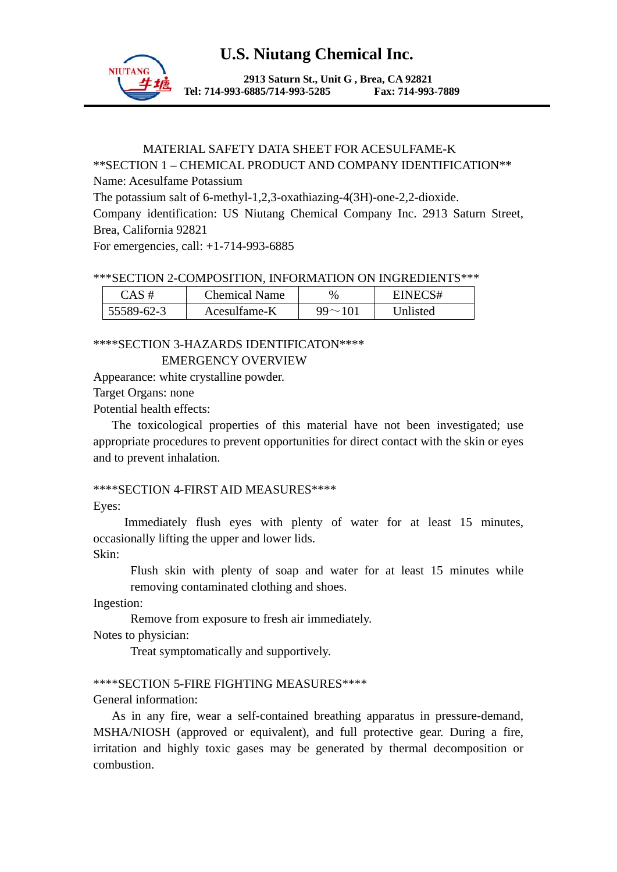

**2913 Saturn St., Unit G , Brea, CA 92821 Tel: 714-993-6885/714-993-5285 Fax: 714-993-7889** 

## MATERIAL SAFETY DATA SHEET FOR ACESULFAME-K \*\*SECTION 1 – CHEMICAL PRODUCT AND COMPANY IDENTIFICATION\*\* Name: Acesulfame Potassium The potassium salt of 6-methyl-1,2,3-oxathiazing-4(3H)-one-2,2-dioxide. Company identification: US Niutang Chemical Company Inc. 2913 Saturn Street, Brea, California 92821 For emergencies, call: +1-714-993-6885

#### \*\*\*SECTION 2-COMPOSITION, INFORMATION ON INGREDIENTS\*\*\*

| $CAS \#$   | <b>Chemical Name</b> | $\%$       | INECS#<br>EINEO |
|------------|----------------------|------------|-----------------|
| 55589-62-3 | Acesulfame-K         | $99 - 101$ | Unlisted        |

#### \*\*\*\*SECTION 3-HAZARDS IDENTIFICATON\*\*\*\* EMERGENCY OVERVIEW

Appearance: white crystalline powder.

Target Organs: none

Potential health effects:

 The toxicological properties of this material have not been investigated; use appropriate procedures to prevent opportunities for direct contact with the skin or eyes and to prevent inhalation.

### \*\*\*\*SECTION 4-FIRST AID MEASURES\*\*\*\*

Eyes:

Immediately flush eyes with plenty of water for at least 15 minutes, occasionally lifting the upper and lower lids.

Skin:

Flush skin with plenty of soap and water for at least 15 minutes while removing contaminated clothing and shoes.

Ingestion:

Remove from exposure to fresh air immediately.

Notes to physician:

Treat symptomatically and supportively.

### \*\*\*\*SECTION 5-FIRE FIGHTING MEASURES\*\*\*\*

General information:

 As in any fire, wear a self-contained breathing apparatus in pressure-demand, MSHA/NIOSH (approved or equivalent), and full protective gear. During a fire, irritation and highly toxic gases may be generated by thermal decomposition or combustion.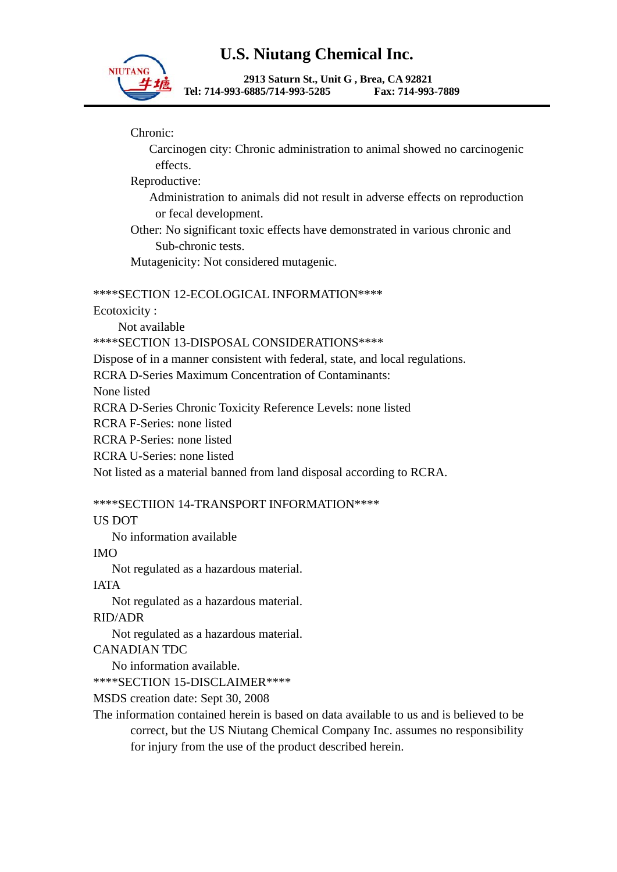

**2913 Saturn St., Unit G , Brea, CA 92821 Tel: 714-993-6885/714-993-5285 Fax: 714-993-7889** 

Chronic:

 Carcinogen city: Chronic administration to animal showed no carcinogenic effects.

Reproductive:

 Administration to animals did not result in adverse effects on reproduction or fecal development.

 Other: No significant toxic effects have demonstrated in various chronic and Sub-chronic tests.

Mutagenicity: Not considered mutagenic.

### \*\*\*\*SECTION 12-ECOLOGICAL INFORMATION\*\*\*\*

Ecotoxicity :

Not available

\*\*\*\*SECTION 13-DISPOSAL CONSIDERATIONS\*\*\*\*

Dispose of in a manner consistent with federal, state, and local regulations.

RCRA D-Series Maximum Concentration of Contaminants:

None listed

RCRA D-Series Chronic Toxicity Reference Levels: none listed

RCRA F-Series: none listed

RCRA P-Series: none listed

RCRA U-Series: none listed

Not listed as a material banned from land disposal according to RCRA.

\*\*\*\*SECTIION 14-TRANSPORT INFORMATION\*\*\*\*

US DOT

No information available

IMO

Not regulated as a hazardous material.

IATA

Not regulated as a hazardous material.

RID/ADR

Not regulated as a hazardous material.

CANADIAN TDC

No information available.

\*\*\*\*SECTION 15-DISCLAIMER\*\*\*\*

MSDS creation date: Sept 30, 2008

The information contained herein is based on data available to us and is believed to be correct, but the US Niutang Chemical Company Inc. assumes no responsibility for injury from the use of the product described herein.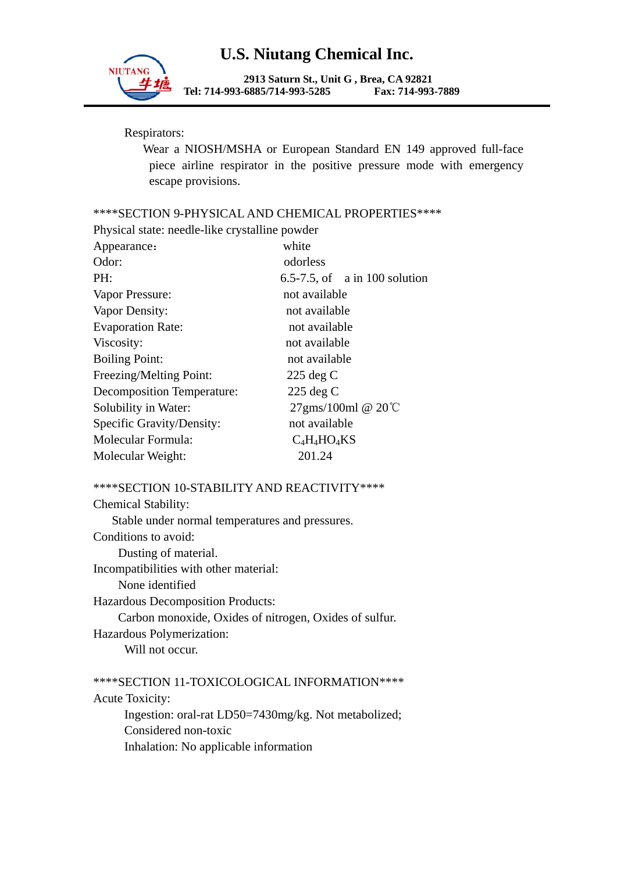

**2913 Saturn St., Unit G , Brea, CA 92821 Tel: 714-993-6885/714-993-5285 Fax: 714-993-7889** 

Respirators:

 Wear a NIOSH/MSHA or European Standard EN 149 approved full-face piece airline respirator in the positive pressure mode with emergency escape provisions.

\*\*\*\*SECTION 9-PHYSICAL AND CHEMICAL PROPERTIES\*\*\*\*

| Physical state: needle-like crystalline powder |                                  |  |
|------------------------------------------------|----------------------------------|--|
| Appearance:                                    | white                            |  |
| Odor:                                          | odorless                         |  |
| PH:                                            | $6.5-7.5$ , of a in 100 solution |  |
| Vapor Pressure:                                | not available                    |  |
| Vapor Density:                                 | not available                    |  |
| <b>Evaporation Rate:</b>                       | not available                    |  |
| Viscosity:                                     | not available                    |  |
| <b>Boiling Point:</b>                          | not available                    |  |
| Freezing/Melting Point:                        | $225 \deg C$                     |  |
| Decomposition Temperature:                     | $225 \deg C$                     |  |
| Solubility in Water:                           | $27$ gms/100ml @ 20 $°C$         |  |
| Specific Gravity/Density:                      | not available                    |  |
| Molecular Formula:                             | $C_4H_4HO_4KS$                   |  |
| Molecular Weight:                              | 201.24                           |  |
|                                                |                                  |  |

#### \*\*\*\*SECTION 10-STABILITY AND REACTIVITY\*\*\*\*

| <b>Chemical Stability:</b>                             |
|--------------------------------------------------------|
| Stable under normal temperatures and pressures.        |
| Conditions to avoid:                                   |
| Dusting of material.                                   |
| Incompatibilities with other material:                 |
| None identified                                        |
| <b>Hazardous Decomposition Products:</b>               |
| Carbon monoxide, Oxides of nitrogen, Oxides of sulfur. |
| Hazardous Polymerization:                              |
| Will not occur.                                        |

\*\*\*\*SECTION 11-TOXICOLOGICAL INFORMATION\*\*\*\* Acute Toxicity: Ingestion: oral-rat LD50=7430mg/kg. Not metabolized; Considered non-toxic Inhalation: No applicable information